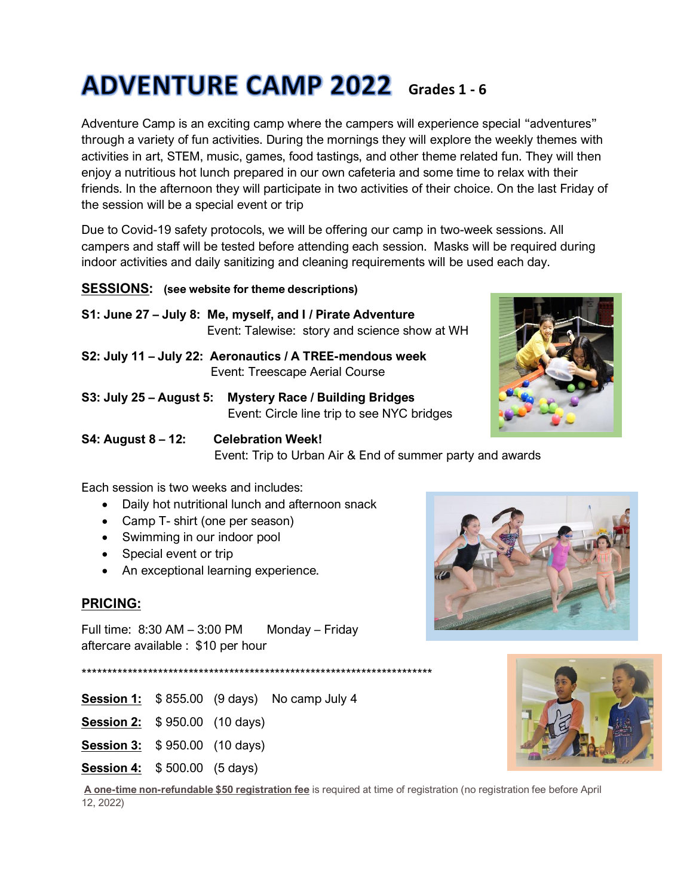# **ADVENTURE CAMP 2022** Grades 1 - 6

Adventure Camp is an exciting camp where the campers will experience special "adventures" through a variety of fun activities. During the mornings they will explore the weekly themes with activities in art, STEM, music, games, food tastings, and other theme related fun. They will then enjoy a nutritious hot lunch prepared in our own cafeteria and some time to relax with their friends. In the afternoon they will participate in two activities of their choice. On the last Friday of the session will be a special event or trip

Due to Covid-19 safety protocols, we will be offering our camp in two-week sessions. All campers and staff will be tested before attending each session. Masks will be required during indoor activities and daily sanitizing and cleaning requirements will be used each day.

# **SESSIONS: (see website for theme descriptions)**

- **S1: June 27 – July 8: Me, myself, and I / Pirate Adventure** Event: Talewise: story and science show at WH
- **S2: July 11 – July 22: Aeronautics / A TREE-mendous week** Event: Treescape Aerial Course
- **S3: July 25 – August 5: Mystery Race / Building Bridges** Event: Circle line trip to see NYC bridges

**S4: August 8 – 12: Celebration Week!** Event: Trip to Urban Air & End of summer party and awards

Each session is two weeks and includes:

- Daily hot nutritional lunch and afternoon snack
- Camp T- shirt (one per season)
- Swimming in our indoor pool
- Special event or trip
- An exceptional learning experience.

# **PRICING:**

Full time:  $8:30$  AM  $-3:00$  PM Monday – Friday aftercare available : \$10 per hour

\*\*\*\*\*\*\*\*\*\*\*\*\*\*\*\*\*\*\*\*\*\*\*\*\*\*\*\*\*\*\*\*\*\*\*\*\*\*\*\*\*\*\*\*\*\*\*\*\*\*\*\*\*\*\*\*\*\*\*\*\*\*\*\*\*\*\*\*\*

- **Session 1:** \$ 855.00 (9 days) No camp July 4
- **Session 2:** \$ 950.00 (10 days)
- **Session 3:** \$ 950.00 (10 days)
- **Session 4:** \$ 500.00 (5 days)



**A one-time non-refundable \$50 registration fee** is required at time of registration (no registration fee before April 12, 2022)